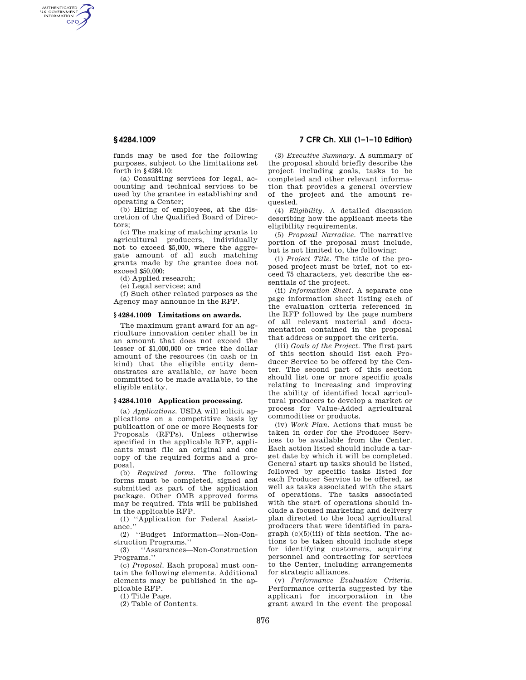AUTHENTICATED<br>U.S. GOVERNMENT<br>INFORMATION **GPO** 

> funds may be used for the following purposes, subject to the limitations set forth in §4284.10:

> (a) Consulting services for legal, accounting and technical services to be used by the grantee in establishing and operating a Center;

> (b) Hiring of employees, at the discretion of the Qualified Board of Directors;

> (c) The making of matching grants to agricultural producers, individually not to exceed \$5,000, where the aggregate amount of all such matching grants made by the grantee does not exceed \$50,000;

(d) Applied research;

(e) Legal services; and

(f) Such other related purposes as the Agency may announce in the RFP.

### **§ 4284.1009 Limitations on awards.**

The maximum grant award for an agriculture innovation center shall be in an amount that does not exceed the lesser of \$1,000,000 or twice the dollar amount of the resources (in cash or in kind) that the eligible entity demonstrates are available, or have been committed to be made available, to the eligible entity.

## **§ 4284.1010 Application processing.**

(a) *Applications.* USDA will solicit applications on a competitive basis by publication of one or more Requests for Proposals (RFPs). Unless otherwise specified in the applicable RFP, applicants must file an original and one copy of the required forms and a proposal.

(b) *Required forms.* The following forms must be completed, signed and submitted as part of the application package. Other OMB approved forms may be required. This will be published in the applicable RFP.

(1) ''Application for Federal Assistance.''

(2) ''Budget Information—Non-Construction Programs.''

(3) ''Assurances—Non-Construction Programs.''

(c) *Proposal.* Each proposal must contain the following elements. Additional elements may be published in the applicable RFP.

(1) Title Page.

(2) Table of Contents.

# **§ 4284.1009 7 CFR Ch. XLII (1–1–10 Edition)**

(3) *Executive Summary.* A summary of the proposal should briefly describe the project including goals, tasks to be completed and other relevant information that provides a general overview of the project and the amount requested.

(4) *Eligibility.* A detailed discussion describing how the applicant meets the eligibility requirements.

(5) *Proposal Narrative.* The narrative portion of the proposal must include, but is not limited to, the following:

(i) *Project Title.* The title of the proposed project must be brief, not to exceed 75 characters, yet describe the essentials of the project.

(ii) *Information Sheet.* A separate one page information sheet listing each of the evaluation criteria referenced in the RFP followed by the page numbers of all relevant material and documentation contained in the proposal that address or support the criteria.

(iii) *Goals of the Project.* The first part of this section should list each Producer Service to be offered by the Center. The second part of this section should list one or more specific goals relating to increasing and improving the ability of identified local agricultural producers to develop a market or process for Value-Added agricultural commodities or products.

(iv) *Work Plan.* Actions that must be taken in order for the Producer Services to be available from the Center. Each action listed should include a target date by which it will be completed. General start up tasks should be listed, followed by specific tasks listed for each Producer Service to be offered, as well as tasks associated with the start of operations. The tasks associated with the start of operations should include a focused marketing and delivery plan directed to the local agricultural producers that were identified in paragraph  $(c)(5)(iii)$  of this section. The actions to be taken should include steps for identifying customers, acquiring personnel and contracting for services to the Center, including arrangements for strategic alliances.

(v) *Performance Evaluation Criteria.*  Performance criteria suggested by the applicant for incorporation in the grant award in the event the proposal